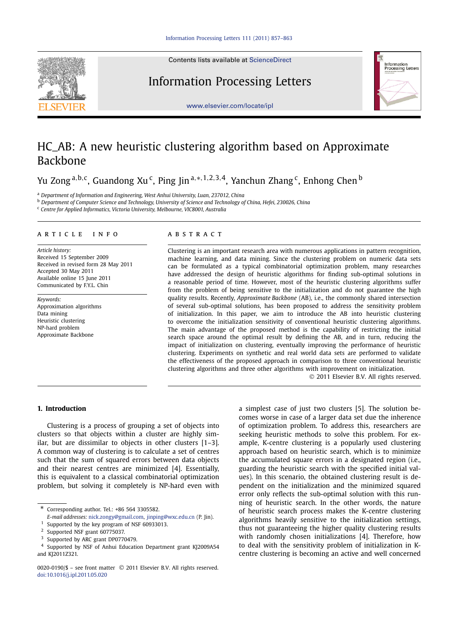Contents lists available at [ScienceDirect](http://www.ScienceDirect.com/)

# Information Processing Letters



[www.elsevier.com/locate/ipl](http://www.elsevier.com/locate/ipl)

# HC\_AB: A new heuristic clustering algorithm based on Approximate Backbone

Yu Zong<sup>a,b,c</sup>, Guandong Xu<sup>c</sup>, Ping Jin<sup>a,∗,1,2,3,4</sup>, Yanchun Zhang<sup>c</sup>, Enhong Chen<sup>b</sup>

<sup>a</sup> *Department of Information and Engineering, West Anhui University, Luan, 237012, China*

<sup>b</sup> *Department of Computer Science and Technology, University of Science and Technology of China, Hefei, 230026, China*

<sup>c</sup> *Centre for Applied Informatics, Victoria University, Melbourne, VIC8001, Australia*

### article info abstract

*Article history:* Received 15 September 2009 Received in revised form 28 May 2011 Accepted 30 May 2011 Available online 15 June 2011 Communicated by F.Y.L. Chin

*Keywords:* Approximation algorithms Data mining Heuristic clustering NP-hard problem Approximate Backbone

Clustering is an important research area with numerous applications in pattern recognition, machine learning, and data mining. Since the clustering problem on numeric data sets can be formulated as a typical combinatorial optimization problem, many researches have addressed the design of heuristic algorithms for finding sub-optimal solutions in a reasonable period of time. However, most of the heuristic clustering algorithms suffer from the problem of being sensitive to the initialization and do not guarantee the high quality results. Recently, *Approximate Backbone* (AB), i.e., the commonly shared intersection of several sub-optimal solutions, has been proposed to address the sensitivity problem of initialization. In this paper, we aim to introduce the AB into heuristic clustering to overcome the initialization sensitivity of conventional heuristic clustering algorithms. The main advantage of the proposed method is the capability of restricting the initial search space around the optimal result by defining the AB, and in turn, reducing the impact of initialization on clustering, eventually improving the performance of heuristic clustering. Experiments on synthetic and real world data sets are performed to validate the effectiveness of the proposed approach in comparison to three conventional heuristic clustering algorithms and three other algorithms with improvement on initialization.

© 2011 Elsevier B.V. All rights reserved.

# **1. Introduction**

Clustering is a process of grouping a set of objects into clusters so that objects within a cluster are highly similar, but are dissimilar to objects in other clusters [1–3]. A common way of clustering is to calculate a set of centres such that the sum of squared errors between data objects and their nearest centres are minimized [4]. Essentially, this is equivalent to a classical combinatorial optimization problem, but solving it completely is NP-hard even with

Corresponding author. Tel.: +86 564 3305582.

a simplest case of just two clusters [5]. The solution becomes worse in case of a larger data set due the inherence of optimization problem. To address this, researchers are seeking heuristic methods to solve this problem. For example, K-centre clustering is a popularly used clustering approach based on heuristic search, which is to minimize the accumulated square errors in a designated region (i.e., guarding the heuristic search with the specified initial values). In this scenario, the obtained clustering result is dependent on the initialization and the minimized squared error only reflects the sub-optimal solution with this running of heuristic search. In the other words, the nature of heuristic search process makes the K-centre clustering algorithms heavily sensitive to the initialization settings, thus not guaranteeing the higher quality clustering results with randomly chosen initializations [4]. Therefore, how to deal with the sensitivity problem of initialization in Kcentre clustering is becoming an active and well concerned

*E-mail addresses:* [nick.zongy@gmail.com](mailto:nick.zongy@gmail.com), [jinping@wxc.edu.cn](mailto:jinping@wxc.edu.cn) (P. Jin).

<sup>&</sup>lt;sup>1</sup> Supported by the key program of NSF 60933013.<br><sup>2</sup> Supported NSE graph 60775027

Supported NSF grant 60775037.

Supported by ARC grant DP0770479.

<sup>4</sup> Supported by NSF of Anhui Education Department grant KJ2009A54 and KJ2011Z321.

<sup>0020-0190/\$ –</sup> see front matter © 2011 Elsevier B.V. All rights reserved. [doi:10.1016/j.ipl.2011.05.020](http://dx.doi.org/10.1016/j.ipl.2011.05.020)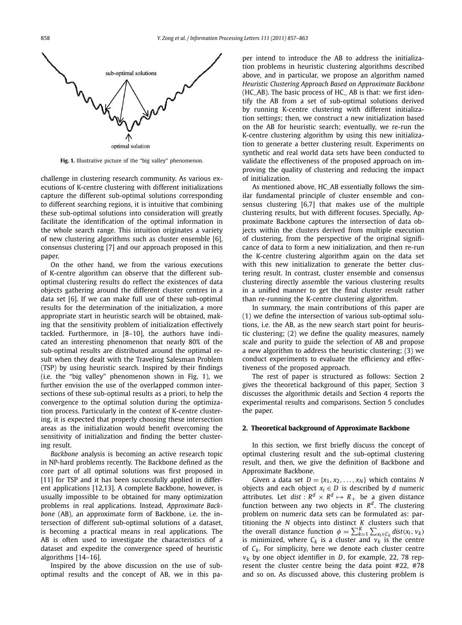

**Fig. 1.** Illustrative picture of the "big valley" phenomenon.

challenge in clustering research community. As various executions of K-centre clustering with different initializations capture the different sub-optimal solutions corresponding to different searching regions, it is intuitive that combining these sub-optimal solutions into consideration will greatly facilitate the identification of the optimal information in the whole search range. This intuition originates a variety of new clustering algorithms such as cluster ensemble [6], consensus clustering [7] and our approach proposed in this paper.

On the other hand, we from the various executions of K-centre algorithm can observe that the different suboptimal clustering results do reflect the existences of data objects gathering around the different cluster centres in a data set [6]. If we can make full use of these sub-optimal results for the determination of the initialization, a more appropriate start in heuristic search will be obtained, making that the sensitivity problem of initialization effectively tackled. Furthermore, in [8–10], the authors have indicated an interesting phenomenon that nearly 80% of the sub-optimal results are distributed around the optimal result when they dealt with the Traveling Salesman Problem (TSP) by using heuristic search. Inspired by their findings (i.e. the "big valley" phenomenon shown in Fig. 1), we further envision the use of the overlapped common intersections of these sub-optimal results as a priori, to help the convergence to the optimal solution during the optimization process. Particularly in the context of K-centre clustering, it is expected that properly choosing these intersection areas as the initialization would benefit overcoming the sensitivity of initialization and finding the better clustering result.

*Backbone* analysis is becoming an active research topic in NP-hard problems recently. The Backbone defined as the core part of all optimal solutions was first proposed in [11] for TSP and it has been successfully applied in different applications [12,13]. A complete Backbone, however, is usually impossible to be obtained for many optimization problems in real applications. Instead, *Approximate Backbone* (AB), an approximate form of Backbone, i.e. the intersection of different sub-optimal solutions of a dataset, is becoming a practical means in real applications. The AB is often used to investigate the characteristics of a dataset and expedite the convergence speed of heuristic algorithms [14–16].

Inspired by the above discussion on the use of suboptimal results and the concept of AB, we in this paper intend to introduce the AB to address the initialization problems in heuristic clustering algorithms described above, and in particular, we propose an algorithm named *Heuristic Clustering Approach Based on Approximate Backbone* (HC\_AB). The basic process of HC\_ AB is that: we first identify the AB from a set of sub-optimal solutions derived by running K-centre clustering with different initialization settings; then, we construct a new initialization based on the AB for heuristic search; eventually, we re-run the K-centre clustering algorithm by using this new initialization to generate a better clustering result. Experiments on synthetic and real world data sets have been conducted to validate the effectiveness of the proposed approach on improving the quality of clustering and reducing the impact of initialization.

As mentioned above, HC\_AB essentially follows the similar fundamental principle of cluster ensemble and consensus clustering [6,7] that makes use of the multiple clustering results, but with different focuses. Specially, Approximate Backbone captures the intersection of data objects within the clusters derived from multiple execution of clustering, from the perspective of the original significance of data to form a new initialization, and then re-run the K-centre clustering algorithm again on the data set with this new initialization to generate the better clustering result. In contrast, cluster ensemble and consensus clustering directly assemble the various clustering results in a unified manner to get the final cluster result rather than re-running the K-centre clustering algorithm.

In summary, the main contributions of this paper are (1) we define the intersection of various sub-optimal solutions, i.e. the AB, as the new search start point for heuristic clustering; (2) we define the quality measures, namely scale and purity to guide the selection of AB and propose a new algorithm to address the heuristic clustering; (3) we conduct experiments to evaluate the efficiency and effectiveness of the proposed approach.

The rest of paper is structured as follows: Section 2 gives the theoretical background of this paper, Section 3 discusses the algorithmic details and Section 4 reports the experimental results and comparisons. Section 5 concludes the paper.

# **2. Theoretical background of Approximate Backbone**

In this section, we first briefly discuss the concept of optimal clustering result and the sub-optimal clustering result, and then, we give the definition of Backbone and Approximate Backbone.

Given a data set  $D = \{x_1, x_2, \ldots, x_N\}$  which contains *N* objects and each object  $x_i \in D$  is described by *d* numeric attributes. Let *dist* :  $R^d \times R^d \mapsto R_+$  be a given distance function between any two objects in *Rd*. The clustering problem on numeric data sets can be formulated as: partitioning the *N* objects into distinct *K* clusters such that the overall distance function  $\phi = \sum_{k=1}^{K} \sum_{x_i \in C_k} dist(x_i, v_k)$ is minimized, where  $C_k$  is a cluster and  $v_k$  is the centre of  $C_k$ . For simplicity, here we denote each cluster centre *vk* by one object identifier in *D*, for example, 22, 78 represent the cluster centre being the data point #22, #78 and so on. As discussed above, this clustering problem is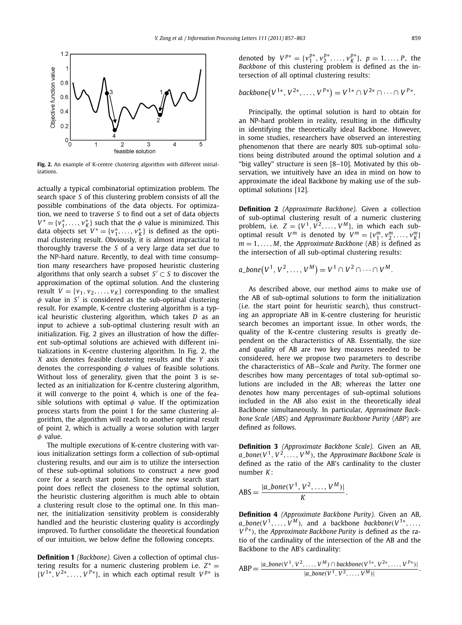

**Fig. 2.** An example of K-centre clustering algorithm with different initializations.

actually a typical combinatorial optimization problem. The search space *S* of this clustering problem consists of all the possible combinations of the data objects. For optimization, we need to traverse *S* to find out a set of data objects  $V^* = \{v_1^*, \ldots, v_K^*\}$  such that the  $\phi$  value is minimized. This data objects set  $V^* = \{v_1^*, \ldots, v_K^*\}$  is defined as the optimal clustering result. Obviously, it is almost impractical to thoroughly traverse the *S* of a very large data set due to the NP-hard nature. Recently, to deal with time consumption many researchers have proposed heuristic clustering algorithms that only search a subset  $S' \subset S$  to discover the approximation of the optimal solution. And the clustering result  $V = \{v_1, v_2, \ldots, v_K\}$  corresponding to the smallest  $\phi$  value in *S'* is considered as the sub-optimal clustering result. For example, K-centre clustering algorithm is a typical heuristic clustering algorithm, which takes *D* as an input to achieve a sub-optimal clustering result with an initialization. Fig. 2 gives an illustration of how the different sub-optimal solutions are achieved with different initializations in K-centre clustering algorithm. In Fig. 2, the *X* axis denotes feasible clustering results and the *Y* axis denotes the corresponding *φ* values of feasible solutions. Without loss of generality, given that the point 3 is selected as an initialization for K-centre clustering algorithm, it will converge to the point 4, which is one of the feasible solutions with optimal  $\phi$  value. If the optimization process starts from the point 1 for the same clustering algorithm, the algorithm will reach to another optimal result of point 2, which is actually a worse solution with larger *φ* value.

The multiple executions of K-centre clustering with various initialization settings form a collection of sub-optimal clustering results, and our aim is to utilize the intersection of these sub-optimal solutions to construct a new good core for a search start point. Since the new search start point does reflect the closeness to the optimal solution, the heuristic clustering algorithm is much able to obtain a clustering result close to the optimal one. In this manner, the initialization sensitivity problem is considerably handled and the heuristic clustering quality is accordingly improved. To further consolidate the theoretical foundation of our intuition, we below define the following concepts.

**Definition 1** *(Backbone).* Given a collection of optimal clustering results for a numeric clustering problem i.e.  $Z^* =$  $\{V^{1*}, V^{2*}, \ldots, V^{p*}\}\$ , in which each optimal result  $V^{p*}$  is denoted by  $V^{p*} = \{v_1^{p*}, v_2^{p*}, \ldots, v_K^{p*}\}, p = 1, \ldots, P$ , the *Backbone* of this clustering problem is defined as the intersection of all optimal clustering results:

$$
backbone(V^{1*}, V^{2*}, \ldots, V^{P*}) = V^{1*} \cap V^{2*} \cap \cdots \cap V^{P*}.
$$

Principally, the optimal solution is hard to obtain for an NP-hard problem in reality, resulting in the difficulty in identifying the theoretically ideal Backbone. However, in some studies, researchers have observed an interesting phenomenon that there are nearly 80% sub-optimal solutions being distributed around the optimal solution and a "big valley" structure is seen [8–10]. Motivated by this observation, we intuitively have an idea in mind on how to approximate the ideal Backbone by making use of the suboptimal solutions [12].

**Definition 2** *(Approximate Backbone).* Given a collection of sub-optimal clustering result of a numeric clustering problem, i.e.  $Z = \{V^1, V^2, \dots, V^M\}$ , in which each suboptimal result  $V^m$  is denoted by  $V^m = \{v_1^m, v_2^m, \ldots, v_K^m\}$  $m = 1, \ldots, M$ , the *Approximate Backbone* (AB) is defined as the intersection of all sub-optimal clustering results:

$$
a\_bone(V^1, V^2, \ldots, V^M) = V^1 \cap V^2 \cap \cdots \cap V^M.
$$

As described above, our method aims to make use of the AB of sub-optimal solutions to form the initialization (i.e. the start point for heuristic search), thus constructing an appropriate AB in K-centre clustering for heuristic search becomes an important issue. In other words, the quality of the K-centre clustering results is greatly dependent on the characteristics of AB. Essentially, the size and quality of AB are two key measures needed to be considered, here we propose two parameters to describe the characteristics of AB—*Scale* and *Purity*. The former one describes how many percentages of total sub-optimal solutions are included in the AB; whereas the latter one denotes how many percentages of sub-optimal solutions included in the AB also exist in the theoretically ideal Backbone simultaneously. In particular, *Approximate Backbone Scale* (*ABS*) and *Approximate Backbone Purity* (*ABP*) are defined as follows.

**Definition 3** *(Approximate Backbone Scale).* Given an AB,  $a\_bone(V^1, V^2, \ldots, V^M)$ , the *Approximate Backbone Scale* is defined as the ratio of the AB's cardinality to the cluster number *K*:

$$
ABS = \frac{|a\_bone(V^1, V^2, \dots, V^M)|}{K}.
$$

**Definition 4** *(Approximate Backbone Purity).* Given an AB,  $a\_bone(V^1, \ldots, V^M)$ , and a backbone *backbone* $(V^{1*}, \ldots, V^{M})$ *V*<sup>*P*∗</sup>), the *Approximate Backbone Purity* is defined as the ratio of the cardinality of the intersection of the AB and the Backbone to the AB's cardinality:

$$
ABP = \frac{|a\_bone(V^1, V^2, \dots, V^M) \cap backbone(V^{1*}, V^{2*}, \dots, V^{P*})|}{|a\_bone(V^1, V^2, \dots, V^M)|}.
$$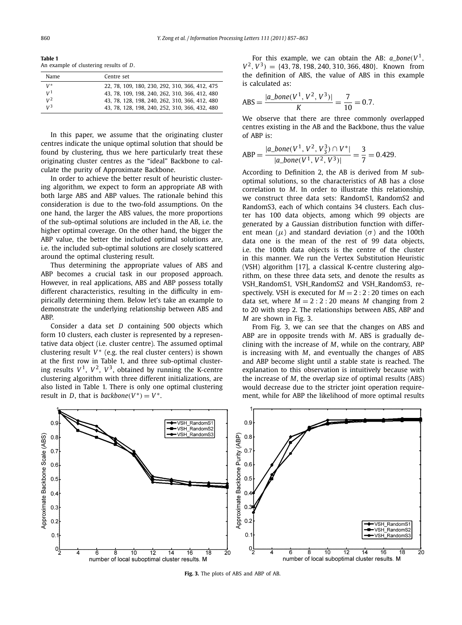**Table 1** An example of clustering results of *D*.

| Name           | Centre set                                     |
|----------------|------------------------------------------------|
| $V^*$          | 22, 78, 109, 180, 230, 292, 310, 366, 412, 475 |
| V <sup>1</sup> | 43, 78, 109, 198, 240, 262, 310, 366, 412, 480 |
| $V^2$          | 43, 78, 128, 198, 240, 262, 310, 366, 412, 480 |
| $V^3$          | 43, 78, 128, 198, 240, 252, 310, 366, 432, 480 |

In this paper, we assume that the originating cluster centres indicate the unique optimal solution that should be found by clustering, thus we here particularly treat these originating cluster centres as the "ideal" Backbone to calculate the purity of Approximate Backbone.

In order to achieve the better result of heuristic clustering algorithm, we expect to form an appropriate AB with both large ABS and ABP values. The rationale behind this consideration is due to the two-fold assumptions. On the one hand, the larger the ABS values, the more proportions of the sub-optimal solutions are included in the AB, i.e. the higher optimal coverage. On the other hand, the bigger the ABP value, the better the included optimal solutions are, i.e. the included sub-optimal solutions are closely scattered around the optimal clustering result.

Thus determining the appropriate values of ABS and ABP becomes a crucial task in our proposed approach. However, in real applications, ABS and ABP possess totally different characteristics, resulting in the difficulty in empirically determining them. Below let's take an example to demonstrate the underlying relationship between ABS and ABP.

Consider a data set *D* containing 500 objects which form 10 clusters, each cluster is represented by a representative data object (i.e. cluster centre). The assumed optimal clustering result  $V^*$  (e.g. the real cluster centers) is shown at the first row in Table 1, and three sub-optimal clustering results  $V^1$ ,  $V^2$ ,  $V^3$ , obtained by running the K-centre clustering algorithm with three different initializations, are also listed in Table 1. There is only one optimal clustering result in *D*, that is *backbone*( $V^*$ ) =  $V^*$ .

For this example, we can obtain the AB:  $a\_bone(V^1$ ,  $V^2$ ,  $V^3$ ) = {43*,* 78*,* 198*,* 240*,* 310*,* 366*,* 480}. Known from the definition of ABS, the value of ABS in this example is calculated as:

$$
ABS = \frac{|a\_bone(V^1, V^2, V^3)|}{K} = \frac{7}{10} = 0.7.
$$

We observe that there are three commonly overlapped centres existing in the AB and the Backbone, thus the value of ABP is:

$$
ABP = \frac{|a\_bone(V^1, V^2, V_3^3) \cap V^*|}{|a\_bone(V^1, V^2, V^3)|} = \frac{3}{7} = 0.429.
$$

According to Definition 2, the AB is derived from *M* suboptimal solutions, so the characteristics of AB has a close correlation to *M*. In order to illustrate this relationship, we construct three data sets: RandomS1, RandomS2 and RandomS3, each of which contains 34 clusters. Each cluster has 100 data objects, among which 99 objects are generated by a Gaussian distribution function with different mean  $(\mu)$  and standard deviation  $(\sigma)$  and the 100th data one is the mean of the rest of 99 data objects, i.e. the 100th data objects is the centre of the cluster in this manner. We run the Vertex Substitution Heuristic (VSH) algorithm [17], a classical K-centre clustering algorithm, on these three data sets, and denote the results as VSH\_RandomS1, VSH\_RandomS2 and VSH\_RandomS3, respectively. VSH is executed for  $M = 2:2:20$  times on each data set, where  $M = 2:2:20$  means M changing from 2 to 20 with step 2. The relationships between ABS, ABP and *M* are shown in Fig. 3.

From Fig. 3, we can see that the changes on ABS and ABP are in opposite trends with *M*. ABS is gradually declining with the increase of *M*, while on the contrary, ABP is increasing with *M*, and eventually the changes of ABS and ABP become slight until a stable state is reached. The explanation to this observation is intuitively because with the increase of *M*, the overlap size of optimal results (ABS) would decrease due to the stricter joint operation requirement, while for ABP the likelihood of more optimal results



**Fig. 3.** The plots of ABS and ABP of AB.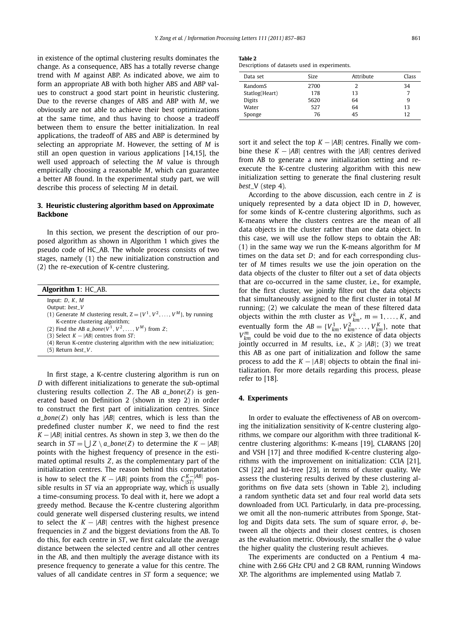in existence of the optimal clustering results dominates the change. As a consequence, ABS has a totally reverse change trend with *M* against ABP. As indicated above, we aim to form an appropriate AB with both higher ABS and ABP values to construct a good start point in heuristic clustering. Due to the reverse changes of ABS and ABP with *M*, we obviously are not able to achieve their best optimizations at the same time, and thus having to choose a tradeoff between them to ensure the better initialization. In real applications, the tradeoff of ABS and ABP is determined by selecting an appropriate *M*. However, the setting of *M* is still an open question in various applications [14,15], the well used approach of selecting the *M* value is through empirically choosing a reasonable *M*, which can guarantee a better AB found. In the experimental study part, we will describe this process of selecting *M* in detail.

# **3. Heuristic clustering algorithm based on Approximate Backbone**

In this section, we present the description of our proposed algorithm as shown in Algorithm 1 which gives the pseudo code of HC\_AB. The whole process consists of two stages, namely (1) the new initialization construction and (2) the re-execution of K-centre clustering.

|  |  | <b>Algorithm 1: HC_AB.</b> |  |  |  |  |
|--|--|----------------------------|--|--|--|--|
|--|--|----------------------------|--|--|--|--|

Input: *D*, *K*, *M*

Output: *best*\_*V*

(1) Generate *M* clustering result,  $Z = \{V^1, V^2, \ldots, V^M\}$ , by running K-centre clustering algorithm;

(2) Find the AB  $a\_bone(V^1, V^2, ..., V^M)$  from *Z*;

(3) Select *K* − |*AB*| centres from *ST*;

(4) Rerun K-centre clustering algorithm with the new initialization;

(5) Return *best*\_*V* .

In first stage, a K-centre clustering algorithm is run on *D* with different initializations to generate the sub-optimal clustering results collection *Z*. The AB *a*\_*bone(Z)* is generated based on Definition 2 (shown in step 2) in order to construct the first part of initialization centres. Since *a*\_*bone(Z)* only has |*AB*| centres, which is less than the predefined cluster number *K*, we need to find the rest  $K - |AB|$  initial centres. As shown in step 3, we then do the search in  $ST = \int Z \setminus a\_bone(Z)$  to determine the  $K - |AB|$ points with the highest frequency of presence in the estimated optimal results *Z*, as the complementary part of the initialization centres. The reason behind this computation is how to select the  $K - |AB|$  points from the  $C_{|ST|}^{K - |AB|}$  possible results in *ST* via an appropriate way, which is usually a time-consuming process. To deal with it, here we adopt a greedy method. Because the K-centre clustering algorithm could generate well dispersed clustering results, we intend to select the  $K - |AB|$  centres with the highest presence frequencies in *Z* and the biggest deviations from the AB. To do this, for each centre in *ST*, we first calculate the average distance between the selected centre and all other centres in the AB, and then multiply the average distance with its presence frequency to generate a value for this centre. The values of all candidate centres in *ST* form a sequence; we

| э<br>.<br>$\sim$ |  |
|------------------|--|
|                  |  |

|  |  |  |  |  | Descriptions of datasets used in experiments. |
|--|--|--|--|--|-----------------------------------------------|
|--|--|--|--|--|-----------------------------------------------|

| Data set       | <b>Size</b> | Attribute | Class |
|----------------|-------------|-----------|-------|
| RandomS        | 2700        | 2         | 34    |
| Statlog(Heart) | 178         | 13        |       |
| <b>Digits</b>  | 5620        | 64        | 9     |
| Water          | 527         | 64        | 13    |
| Sponge         | 76          | 45        | 12    |

sort it and select the top  $K - |AB|$  centres. Finally we combine these *K* − |*AB*| centres with the |*AB*| centres derived from AB to generate a new initialization setting and reexecute the K-centre clustering algorithm with this new initialization setting to generate the final clustering result *best*\_V (step 4).

According to the above discussion, each centre in *Z* is uniquely represented by a data object ID in *D*, however, for some kinds of K-centre clustering algorithms, such as K-means where the clusters centres are the mean of all data objects in the cluster rather than one data object. In this case, we will use the follow steps to obtain the AB: (1) in the same way we run the K-means algorithm for *M* times on the data set *D*; and for each corresponding cluster of *M* times results we use the join operation on the data objects of the cluster to filter out a set of data objects that are co-occurred in the same cluster, i.e., for example, for the first cluster, we jointly filter out the data objects that simultaneously assigned to the first cluster in total *M* running; (2) we calculate the mean of these filtered data objects within the *m*th cluster as  $V_{km}^k$ ,  $m = 1, ..., K$ , and eventually form the  $AB = \{V_{km}^1, V_{km}^2, \dots, V_{km}^K\}$ , note that  $V_{km}^{m}$  could be void due to the no existence of data objects jointly occurred in  $M$  results, i.e.,  $K \geqslant |AB|$ ; (3) we treat this AB as one part of initialization and follow the same process to add the  $K - |AB|$  objects to obtain the final initialization. For more details regarding this process, please refer to [18].

# **4. Experiments**

In order to evaluate the effectiveness of AB on overcoming the initialization sensitivity of K-centre clustering algorithms, we compare our algorithm with three traditional Kcentre clustering algorithms: K-means [19], CLARANS [20] and VSH [17] and three modified K-centre clustering algorithms with the improvement on initialization: CCIA [21], CSI [22] and kd-tree [23], in terms of cluster quality. We assess the clustering results derived by these clustering algorithms on five data sets (shown in Table 2), including a random synthetic data set and four real world data sets downloaded from UCI. Particularly, in data pre-processing, we omit all the non-numeric attributes from Sponge, Statlog and Digits data sets. The sum of square error, *φ*, between all the objects and their closest centres, is chosen as the evaluation metric. Obviously, the smaller the *φ* value the higher quality the clustering result achieves.

The experiments are conducted on a Pentium 4 machine with 2.66 GHz CPU and 2 GB RAM, running Windows XP. The algorithms are implemented using Matlab 7.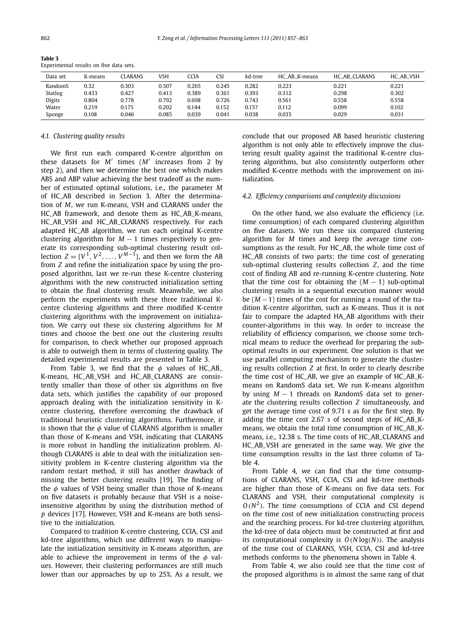**Table 3**

| -------                                 |  |  |  |
|-----------------------------------------|--|--|--|
| Experimental results on five data sets. |  |  |  |

| Data set      | K-means | CLARANS | VSH   | CCIA  | CSI   | kd-tree | HC AB K-means | HC AB CLARANS | HC AB VSH |
|---------------|---------|---------|-------|-------|-------|---------|---------------|---------------|-----------|
| RandomS       | 0.32    | 0.303   | 0.307 | 0.265 | 0.245 | 0.282   | 0.223         | 0.221         | 0.221     |
| Statlog       | 0.433   | 0.427   | 0.413 | 0.389 | 0.361 | 0.393   | 0.312         | 0.298         | 0.302     |
| <b>Digits</b> | 0.804   | 0.778   | 0.792 | 0.698 | 0.726 | 0.743   | 0.561         | 0.558         | 0.558     |
| Water         | 0.219   | 0.175   | 0.202 | 0.144 | 0.152 | 0.157   | 0.112         | 0.099         | 0.102     |
| Sponge        | 0.108   | 0.046   | 0.085 | 0.039 | 0.041 | 0.038   | 0.035         | 0.029         | 0.031     |

#### *4.1. Clustering quality results*

We first run each compared K-centre algorithm on these datasets for *M* times (*M* increases from 2 by step 2), and then we determine the best one which makes ABS and ABP value achieving the best tradeoff as the number of estimated optimal solutions, i.e., the parameter *M* of HC\_AB described in Section 3. After the determination of *M*, we run K-means, VSH and CLARANS under the HC\_AB framework, and denote them as HC\_AB\_K-means, HC\_AB\_VSH and HC\_AB\_CLARANS respectively. For each adapted HC\_AB algorithm, we run each original K-centre clustering algorithm for  $M - 1$  times respectively to generate its corresponding sub-optimal clustering result collection  $Z = \{V^1, V^2, \ldots, V^{M-1}\}$ , and then we form the AB from *Z* and refine the initialization space by using the proposed algorithm, last we re-run these K-centre clustering algorithms with the new constructed initialization setting to obtain the final clustering result. Meanwhile, we also perform the experiments with these three traditional Kcentre clustering algorithms and three modified K-centre clustering algorithms with the improvement on initialization. We carry out these six clustering algorithms for *M* times and choose the best one out the clustering results for comparison, to check whether our proposed approach is able to outweigh them in terms of clustering quality. The detailed experimental results are presented in Table 3.

From Table 3, we find that the *φ* values of HC\_AB\_ K-means, HC\_AB\_VSH and HC\_AB\_CLARANS are consistently smaller than those of other six algorithms on five data sets, which justifies the capability of our proposed approach dealing with the initialization sensitivity in Kcentre clustering, therefore overcoming the drawback of traditional heuristic clustering algorithms. Furthermore, it is shown that the *φ* value of CLARANS algorithm is smaller than those of K-means and VSH, indicating that CLARANS is more robust in handling the initialization problem. Although CLARANS is able to deal with the initialization sensitivity problem in K-centre clustering algorithm via the random restart method, it still has another drawback of missing the better clustering results [19]. The finding of the *φ* values of VSH being smaller than those of K-means on five datasets is probably because that VSH is a noiseinsensitive algorithm by using the distribution method of *p* devices [17]. However, VSH and K-means are both sensitive to the initialization.

Compared to tradition K-centre clustering, CCIA, CSI and kd-tree algorithms, which use different ways to manipulate the initialization sensitivity in K-means algorithm, are able to achieve the improvement in terms of the *φ* values. However, their clustering performances are still much lower than our approaches by up to 25%. As a result, we

conclude that our proposed AB based heuristic clustering algorithm is not only able to effectively improve the clustering result quality against the traditional K-centre clustering algorithms, but also consistently outperform other modified K-centre methods with the improvement on initialization.

# *4.2. Efficiency comparisons and complexity discussions*

On the other hand, we also evaluate the efficiency (i.e. time consumption) of each compared clustering algorithm on five datasets. We run these six compared clustering algorithm for *M* times and keep the average time consumptions as the result. For HC\_AB, the whole time cost of HC\_AB consists of two parts: the time cost of generating sub-optimal clustering results collection *Z*, and the time cost of finding AB and re-running K-centre clustering. Note that the time cost for obtaining the  $(M - 1)$  sub-optimal clustering results in a sequential execution manner would be (*M* −1) times of the cost for running a round of the tradition K-centre algorithm, such as K-means. Thus it is not fair to compare the adapted HA\_AB algorithms with their counter-algorithms in this way. In order to increase the reliability of efficiency comparison, we choose some technical means to reduce the overhead for preparing the suboptimal results in our experiment. One solution is that we use parallel computing mechanism to generate the clustering results collection *Z* at first. In order to clearly describe the time cost of HC\_AB, we give an example of HC\_AB\_Kmeans on RandomS data set. We run K-means algorithm by using *M* − 1 threads on RandomS data set to generate the clustering results collection *Z* simultaneously, and get the average time cost of 9.71 s as for the first step. By adding the time cost 2.67 s of second steps of HC\_AB\_Kmeans, we obtain the total time consumption of HC\_AB\_Kmeans, i.e., 12.38 s. The time costs of HC\_AB\_CLARANS and HC\_AB\_VSH are generated in the same way. We give the time consumption results in the last three column of Table 4.

From Table 4, we can find that the time consumptions of CLARANS, VSH, CCIA, CSI and kd-tree methods are higher than those of K-means on five data sets. For CLARANS and VSH, their computational complexity is  $O(N^2)$ . The time consumptions of CCIA and CSI depend on the time cost of new initialization constructing process and the searching process. For kd-tree clustering algorithm, the kd-tree of data objects must be constructed at first and its computational complexity is *O(N* log*(N))*. The analysis of the time cost of CLARANS, VSH, CCIA, CSI and kd-tree methods conforms to the phenomena shown in Table 4.

From Table 4, we also could see that the time cost of the proposed algorithms is in almost the same rang of that